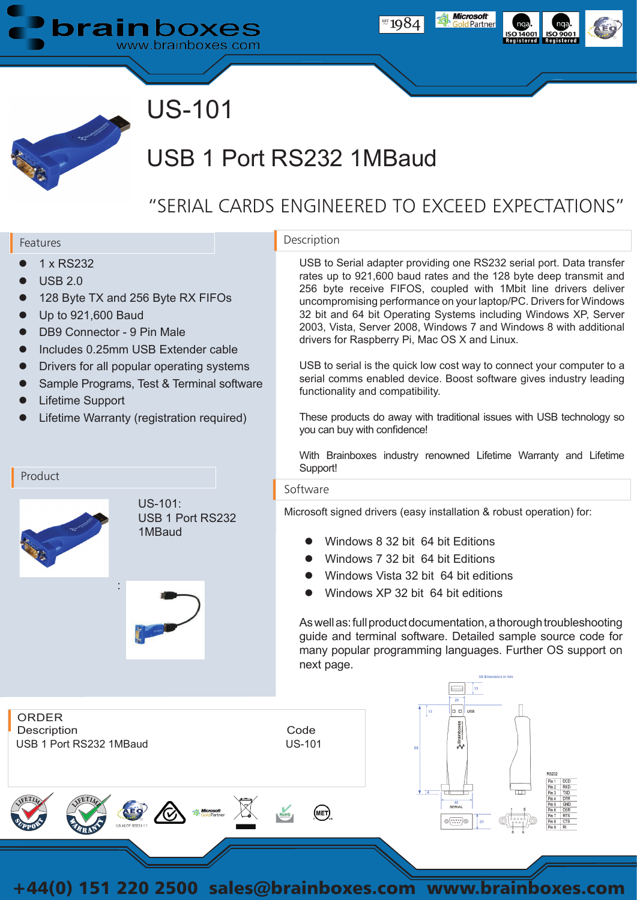



# US-101

# USB 1 Port RS232 1MBaud

## "SERIAL CARDS ENGINEERED TO EXCEED EXPECTATIONS"

#### Features

Product

- l 1 x RS232
- **USB 2.0**
- 128 Byte TX and 256 Byte RX FIFOs
- l Up to 921,600 Baud
- DB9 Connector 9 Pin Male
- l Includes 0.25mm USB Extender cable
- Drivers for all popular operating systems
- Sample Programs, Test & Terminal software

US-101:

1MBaud

USB 1 Port RS232

- Lifetime Support
- Lifetime Warranty (registration required)

:

### Description

USB to Serial adapter providing one RS232 serial port. Data transfer rates up to 921,600 baud rates and the 128 byte deep transmit and 256 byte receive FIFOS, coupled with 1Mbit line drivers deliver uncompromising performance on your laptop/PC. Drivers for Windows 32 bit and 64 bit Operating Systems including Windows XP, Server 2003, Vista, Server 2008, Windows 7 and Windows 8 with additional drivers for Raspberry Pi, Mac OS X and Linux.

USB to serial is the quick low cost way to connect your computer to a serial comms enabled device. Boost software gives industry leading functionality and compatibility.

These products do away with traditional issues with USB technology so you can buy with confidence!

With Brainboxes industry renowned Lifetime Warranty and Lifetime Support!

#### Software

Microsoft signed drivers (easy installation & robust operation) for:

- l Windows 8 32 bit 64 bit Editions
- l Windows 7 32 bit 64 bit Editions
- l Windows Vista 32 bit 64 bit editions
- Windows XP 32 bit 64 bit editions

As well as: full product documentation, a thorough troubleshooting guide and terminal software. Detailed sample source code for many popular programming languages. Further OS support on next page.



+44(0) 151 220 2500 sales@brainboxes.com www.brainboxes.com